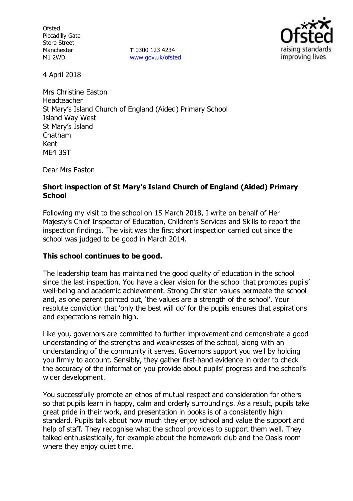**Ofsted** Piccadilly Gate Store Street Manchester M1 2WD

**T** 0300 123 4234 www.gov.uk/ofsted



4 April 2018

Mrs Christine Easton Headteacher St Mary's Island Church of England (Aided) Primary School Island Way West St Mary's Island Chatham Kent ME4 3ST

Dear Mrs Easton

### **Short inspection of St Mary's Island Church of England (Aided) Primary School**

Following my visit to the school on 15 March 2018, I write on behalf of Her Majesty's Chief Inspector of Education, Children's Services and Skills to report the inspection findings. The visit was the first short inspection carried out since the school was judged to be good in March 2014.

## **This school continues to be good.**

The leadership team has maintained the good quality of education in the school since the last inspection. You have a clear vision for the school that promotes pupils' well-being and academic achievement. Strong Christian values permeate the school and, as one parent pointed out, 'the values are a strength of the school'. Your resolute conviction that 'only the best will do' for the pupils ensures that aspirations and expectations remain high.

Like you, governors are committed to further improvement and demonstrate a good understanding of the strengths and weaknesses of the school, along with an understanding of the community it serves. Governors support you well by holding you firmly to account. Sensibly, they gather first-hand evidence in order to check the accuracy of the information you provide about pupils' progress and the school's wider development.

You successfully promote an ethos of mutual respect and consideration for others so that pupils learn in happy, calm and orderly surroundings. As a result, pupils take great pride in their work, and presentation in books is of a consistently high standard. Pupils talk about how much they enjoy school and value the support and help of staff. They recognise what the school provides to support them well. They talked enthusiastically, for example about the homework club and the Oasis room where they enjoy quiet time.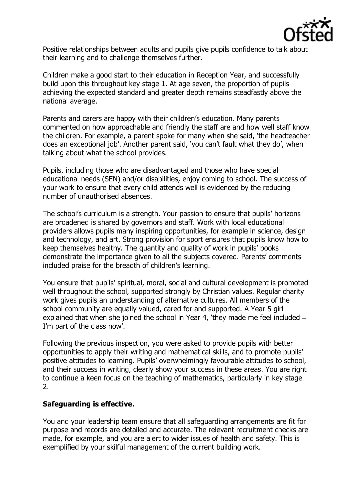

Positive relationships between adults and pupils give pupils confidence to talk about their learning and to challenge themselves further.

Children make a good start to their education in Reception Year, and successfully build upon this throughout key stage 1. At age seven, the proportion of pupils achieving the expected standard and greater depth remains steadfastly above the national average.

Parents and carers are happy with their children's education. Many parents commented on how approachable and friendly the staff are and how well staff know the children. For example, a parent spoke for many when she said, 'the headteacher does an exceptional job'. Another parent said, 'you can't fault what they do', when talking about what the school provides.

Pupils, including those who are disadvantaged and those who have special educational needs (SEN) and/or disabilities, enjoy coming to school. The success of your work to ensure that every child attends well is evidenced by the reducing number of unauthorised absences.

The school's curriculum is a strength. Your passion to ensure that pupils' horizons are broadened is shared by governors and staff. Work with local educational providers allows pupils many inspiring opportunities, for example in science, design and technology, and art. Strong provision for sport ensures that pupils know how to keep themselves healthy. The quantity and quality of work in pupils' books demonstrate the importance given to all the subjects covered. Parents' comments included praise for the breadth of children's learning.

You ensure that pupils' spiritual, moral, social and cultural development is promoted well throughout the school, supported strongly by Christian values. Regular charity work gives pupils an understanding of alternative cultures. All members of the school community are equally valued, cared for and supported. A Year 5 girl explained that when she joined the school in Year 4, 'they made me feel included I'm part of the class now'.

Following the previous inspection, you were asked to provide pupils with better opportunities to apply their writing and mathematical skills, and to promote pupils' positive attitudes to learning. Pupils' overwhelmingly favourable attitudes to school, and their success in writing, clearly show your success in these areas. You are right to continue a keen focus on the teaching of mathematics, particularly in key stage 2.

## **Safeguarding is effective.**

You and your leadership team ensure that all safeguarding arrangements are fit for purpose and records are detailed and accurate. The relevant recruitment checks are made, for example, and you are alert to wider issues of health and safety. This is exemplified by your skilful management of the current building work.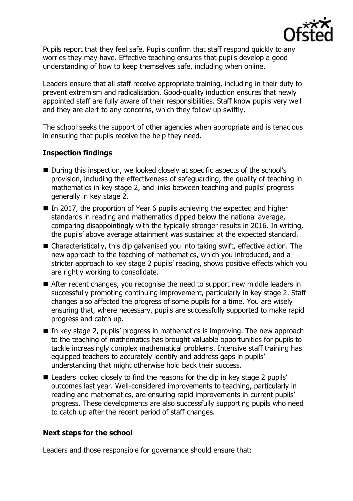

Pupils report that they feel safe. Pupils confirm that staff respond quickly to any worries they may have. Effective teaching ensures that pupils develop a good understanding of how to keep themselves safe, including when online.

Leaders ensure that all staff receive appropriate training, including in their duty to prevent extremism and radicalisation. Good-quality induction ensures that newly appointed staff are fully aware of their responsibilities. Staff know pupils very well and they are alert to any concerns, which they follow up swiftly.

The school seeks the support of other agencies when appropriate and is tenacious in ensuring that pupils receive the help they need.

# **Inspection findings**

- During this inspection, we looked closely at specific aspects of the school's provision, including the effectiveness of safeguarding, the quality of teaching in mathematics in key stage 2, and links between teaching and pupils' progress generally in key stage 2.
- In 2017, the proportion of Year 6 pupils achieving the expected and higher standards in reading and mathematics dipped below the national average, comparing disappointingly with the typically stronger results in 2016. In writing, the pupils' above average attainment was sustained at the expected standard.
- Characteristically, this dip galvanised you into taking swift, effective action. The new approach to the teaching of mathematics, which you introduced, and a stricter approach to key stage 2 pupils' reading, shows positive effects which you are rightly working to consolidate.
- After recent changes, you recognise the need to support new middle leaders in successfully promoting continuing improvement, particularly in key stage 2. Staff changes also affected the progress of some pupils for a time. You are wisely ensuring that, where necessary, pupils are successfully supported to make rapid progress and catch up.
- In key stage 2, pupils' progress in mathematics is improving. The new approach to the teaching of mathematics has brought valuable opportunities for pupils to tackle increasingly complex mathematical problems. Intensive staff training has equipped teachers to accurately identify and address gaps in pupils' understanding that might otherwise hold back their success.
- Leaders looked closely to find the reasons for the dip in key stage 2 pupils' outcomes last year. Well-considered improvements to teaching, particularly in reading and mathematics, are ensuring rapid improvements in current pupils' progress. These developments are also successfully supporting pupils who need to catch up after the recent period of staff changes.

## **Next steps for the school**

Leaders and those responsible for governance should ensure that: